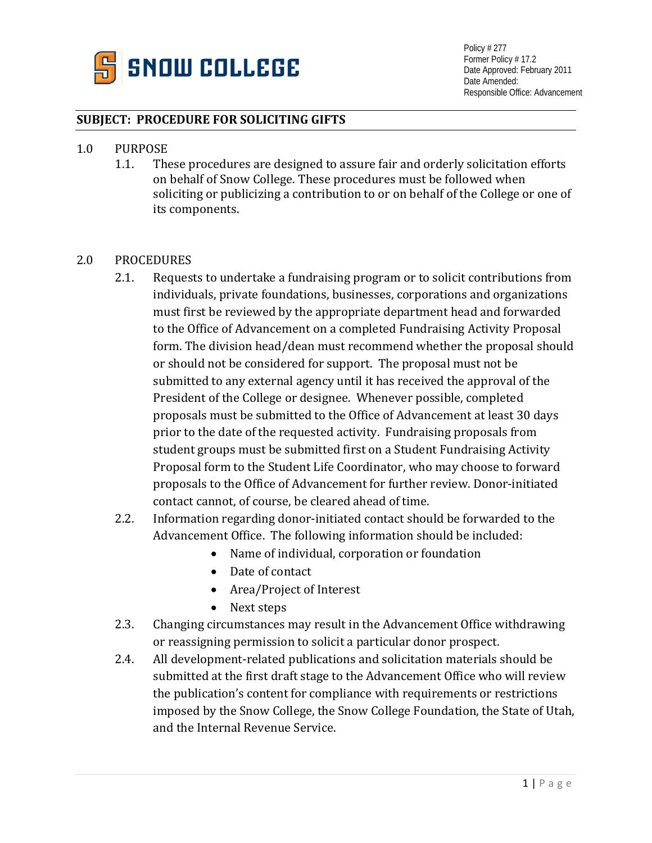

Policy # 277 Former Policy # 17.2 Date Approved: February 2011 Date Amended: Responsible Office: Advancement

## **SUBJECT: PROCEDURE FOR SOLICITING GIFTS**

- 1.0 PURPOSE<br>1.1. The
	- These procedures are designed to assure fair and orderly solicitation efforts on behalf of Snow College. These procedures must be followed when soliciting or publicizing a contribution to or on behalf of the College or one of its components.

## 2.0 PROCEDURES

- 2.1. Requests to undertake a fundraising program or to solicit contributions from individuals, private foundations, businesses, corporations and organizations must first be reviewed by the appropriate department head and forwarded to the Office of Advancement on a completed Fundraising Activity Proposal form. The division head/dean must recommend whether the proposal should or should not be considered for support. The proposal must not be submitted to any external agency until it has received the approval of the President of the College or designee. Whenever possible, completed proposals must be submitted to the Office of Advancement at least 30 days prior to the date of the requested activity. Fundraising proposals from student groups must be submitted first on a Student Fundraising Activity Proposal form to the Student Life Coordinator, who may choose to forward proposals to the Office of Advancement for further review. Donor-initiated contact cannot, of course, be cleared ahead of time.
- 2.2. Information regarding donor-initiated contact should be forwarded to the Advancement Office. The following information should be included:
	- Name of individual, corporation or foundation
	- Date of contact
	- Area/Project of Interest
	- Next steps
- 2.3. Changing circumstances may result in the Advancement Office withdrawing or reassigning permission to solicit a particular donor prospect.
- 2.4. All development-related publications and solicitation materials should be submitted at the first draft stage to the Advancement Office who will review the publication's content for compliance with requirements or restrictions imposed by the Snow College, the Snow College Foundation, the State of Utah, and the Internal Revenue Service.